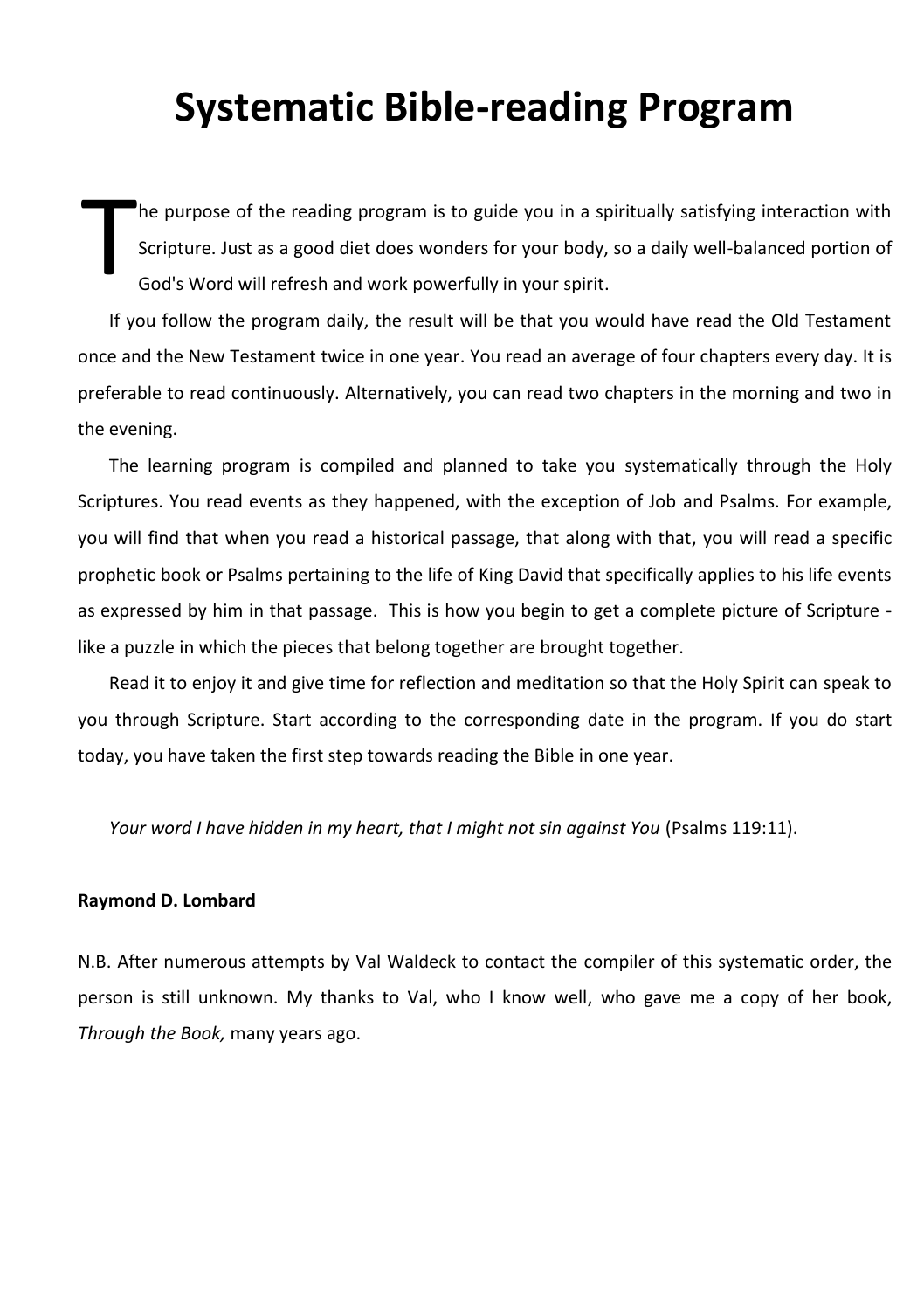# **Systematic Bible-reading Program**

he purpose of the reading program is to guide you in a spiritually satisfying interaction with Scripture. Just as a good diet does wonders for your body, so a daily well-balanced portion of God's Word will refresh and work powerfully in your spirit. T

If you follow the program daily, the result will be that you would have read the Old Testament once and the New Testament twice in one year. You read an average of four chapters every day. It is preferable to read continuously. Alternatively, you can read two chapters in the morning and two in the evening.

The learning program is compiled and planned to take you systematically through the Holy Scriptures. You read events as they happened, with the exception of Job and Psalms. For example, you will find that when you read a historical passage, that along with that, you will read a specific prophetic book or Psalms pertaining to the life of King David that specifically applies to his life events as expressed by him in that passage. This is how you begin to get a complete picture of Scripture like a puzzle in which the pieces that belong together are brought together.

Read it to enjoy it and give time for reflection and meditation so that the Holy Spirit can speak to you through Scripture. Start according to the corresponding date in the program. If you do start today, you have taken the first step towards reading the Bible in one year.

*Your word I have hidden in my heart, that I might not sin against You* (Psalms 119:11).

#### **Raymond D. Lombard**

N.B. After numerous attempts by Val Waldeck to contact the compiler of this systematic order, the person is still unknown. My thanks to Val, who I know well, who gave me a copy of her book, *Through the Book,* many years ago.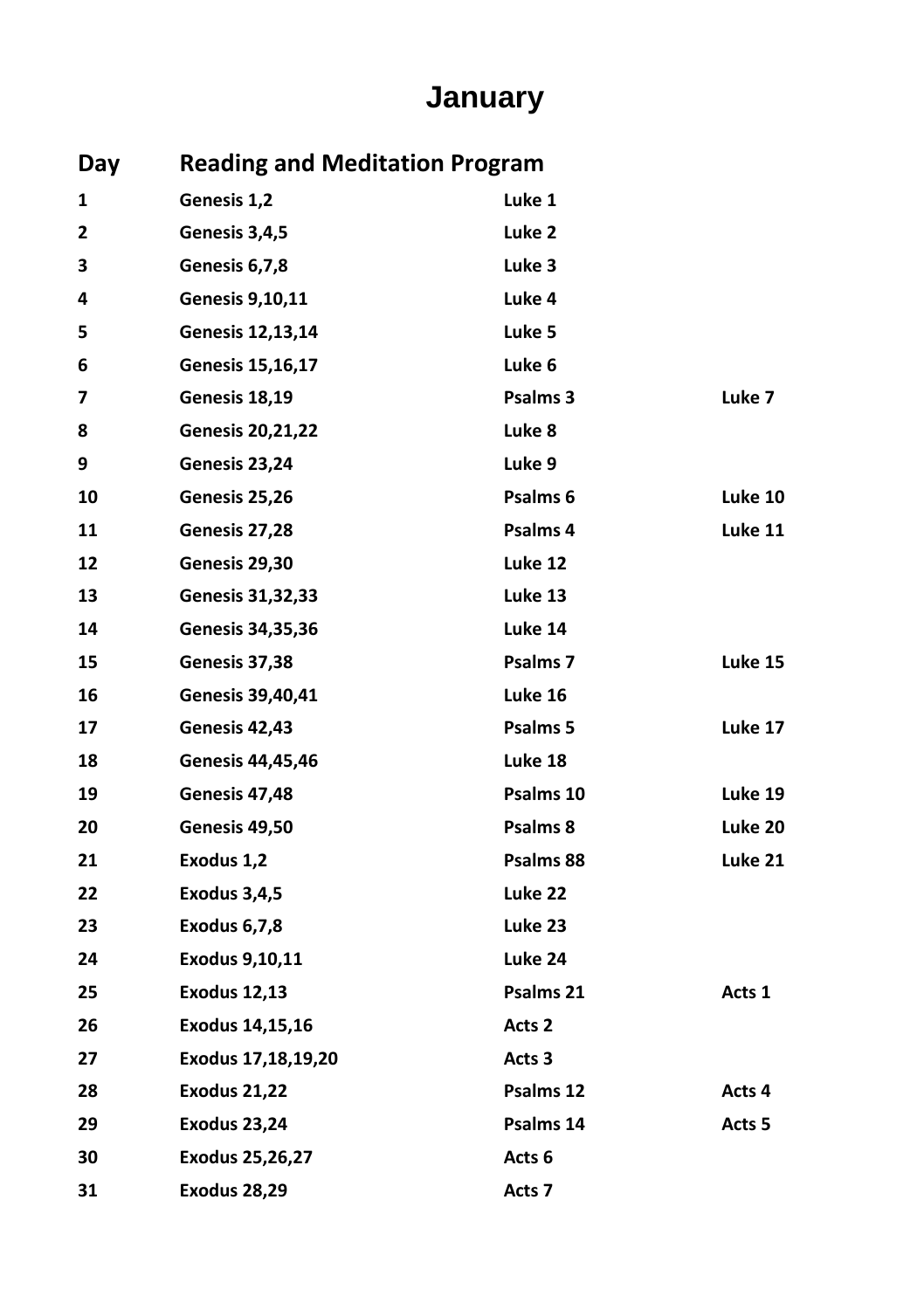# **January**

| Day |                         | <b>Reading and Meditation Program</b> |         |  |
|-----|-------------------------|---------------------------------------|---------|--|
| 1   | Genesis 1,2             | Luke 1                                |         |  |
| 2   | Genesis 3,4,5           | Luke 2                                |         |  |
| з   | Genesis 6,7,8           | Luke 3                                |         |  |
| 4   | Genesis 9,10,11         | Luke 4                                |         |  |
| 5   | Genesis 12,13,14        | Luke 5                                |         |  |
| 6   | <b>Genesis 15,16,17</b> | Luke 6                                |         |  |
| 7   | Genesis 18,19           | Psalms 3                              | Luke 7  |  |
| 8   | <b>Genesis 20,21,22</b> | Luke 8                                |         |  |
| 9   | Genesis 23,24           | Luke 9                                |         |  |
| 10  | Genesis 25,26           | Psalms 6                              | Luke 10 |  |
| 11  | Genesis 27,28           | Psalms 4                              | Luke 11 |  |
| 12  | Genesis 29,30           | Luke 12                               |         |  |
| 13  | <b>Genesis 31,32,33</b> | Luke 13                               |         |  |
| 14  | <b>Genesis 34,35,36</b> | Luke 14                               |         |  |
| 15  | Genesis 37,38           | Psalms <sub>7</sub>                   | Luke 15 |  |
| 16  | <b>Genesis 39,40,41</b> | Luke 16                               |         |  |
| 17  | Genesis 42,43           | Psalms 5                              | Luke 17 |  |
| 18  | <b>Genesis 44,45,46</b> | Luke 18                               |         |  |
| 19  | Genesis 47,48           | Psalms 10                             | Luke 19 |  |
| 20  | Genesis 49,50           | Psalms 8                              | Luke 20 |  |
| 21  | Exodus 1,2              | Psalms 88                             | Luke 21 |  |
| 22  | Exodus 3,4,5            | Luke 22                               |         |  |
| 23  | Exodus 6,7,8            | Luke 23                               |         |  |
| 24  | Exodus 9,10,11          | Luke 24                               |         |  |
| 25  | <b>Exodus 12,13</b>     | Psalms 21                             | Acts 1  |  |
| 26  | Exodus 14,15,16         | Acts 2                                |         |  |
| 27  | Exodus 17,18,19,20      | Acts 3                                |         |  |
| 28  | <b>Exodus 21,22</b>     | Psalms 12                             | Acts 4  |  |
| 29  | <b>Exodus 23,24</b>     | Psalms 14                             | Acts 5  |  |
| 30  | <b>Exodus 25,26,27</b>  | Acts 6                                |         |  |
| 31  | <b>Exodus 28,29</b>     | Acts 7                                |         |  |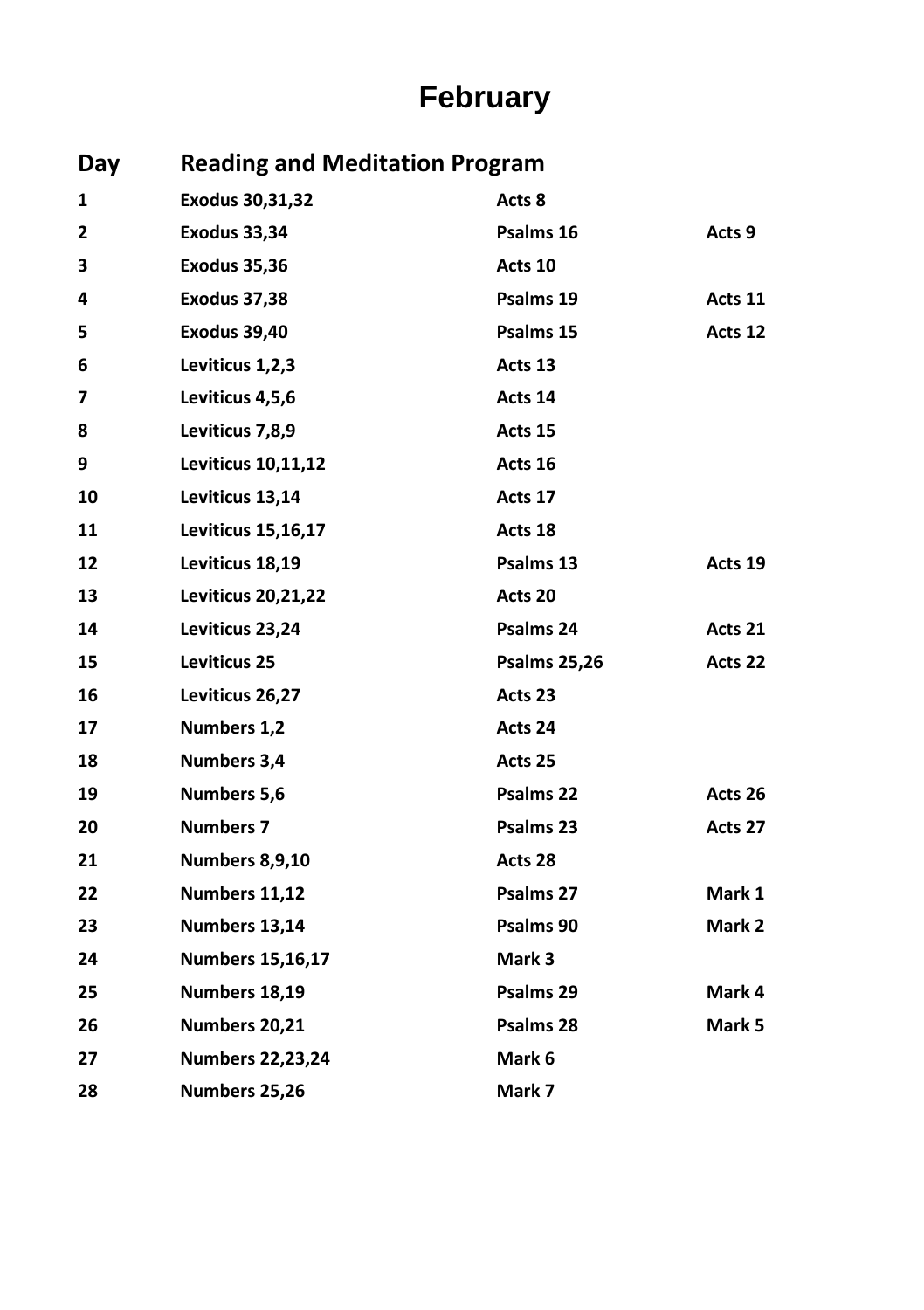# **February**

| Day | <b>Reading and Meditation Program</b> |                     |         |  |
|-----|---------------------------------------|---------------------|---------|--|
| 1   | Exodus 30,31,32                       | Acts 8              |         |  |
| 2   | <b>Exodus 33,34</b>                   | Psalms 16           | Acts 9  |  |
| З   | <b>Exodus 35,36</b>                   | Acts 10             |         |  |
| 4   | <b>Exodus 37,38</b>                   | Psalms 19           | Acts 11 |  |
| 5   | <b>Exodus 39,40</b>                   | Psalms 15           | Acts 12 |  |
| 6   | Leviticus 1,2,3                       | Acts 13             |         |  |
| 7   | Leviticus 4,5,6                       | Acts 14             |         |  |
| 8   | Leviticus 7,8,9                       | Acts 15             |         |  |
| 9   | Leviticus 10,11,12                    | Acts 16             |         |  |
| 10  | Leviticus 13,14                       | Acts 17             |         |  |
| 11  | Leviticus 15,16,17                    | Acts 18             |         |  |
| 12  | Leviticus 18,19                       | Psalms 13           | Acts 19 |  |
| 13  | <b>Leviticus 20,21,22</b>             | Acts 20             |         |  |
| 14  | Leviticus 23,24                       | Psalms 24           | Acts 21 |  |
| 15  | <b>Leviticus 25</b>                   | <b>Psalms 25,26</b> | Acts 22 |  |
| 16  | Leviticus 26,27                       | Acts 23             |         |  |
| 17  | Numbers 1,2                           | Acts 24             |         |  |
| 18  | Numbers 3,4                           | Acts 25             |         |  |
| 19  | Numbers 5,6                           | Psalms 22           | Acts 26 |  |
| 20  | <b>Numbers 7</b>                      | Psalms 23           | Acts 27 |  |
| 21  | <b>Numbers 8,9,10</b>                 | Acts 28             |         |  |
| 22  | Numbers 11,12                         | Psalms 27           | Mark 1  |  |
| 23  | Numbers 13,14                         | Psalms 90           | Mark 2  |  |
| 24  | <b>Numbers 15,16,17</b>               | Mark 3              |         |  |
| 25  | Numbers 18,19                         | Psalms 29           | Mark 4  |  |
| 26  | Numbers 20,21                         | Psalms 28           | Mark 5  |  |
| 27  | <b>Numbers 22,23,24</b>               | Mark 6              |         |  |
| 28  | Numbers 25,26                         | Mark 7              |         |  |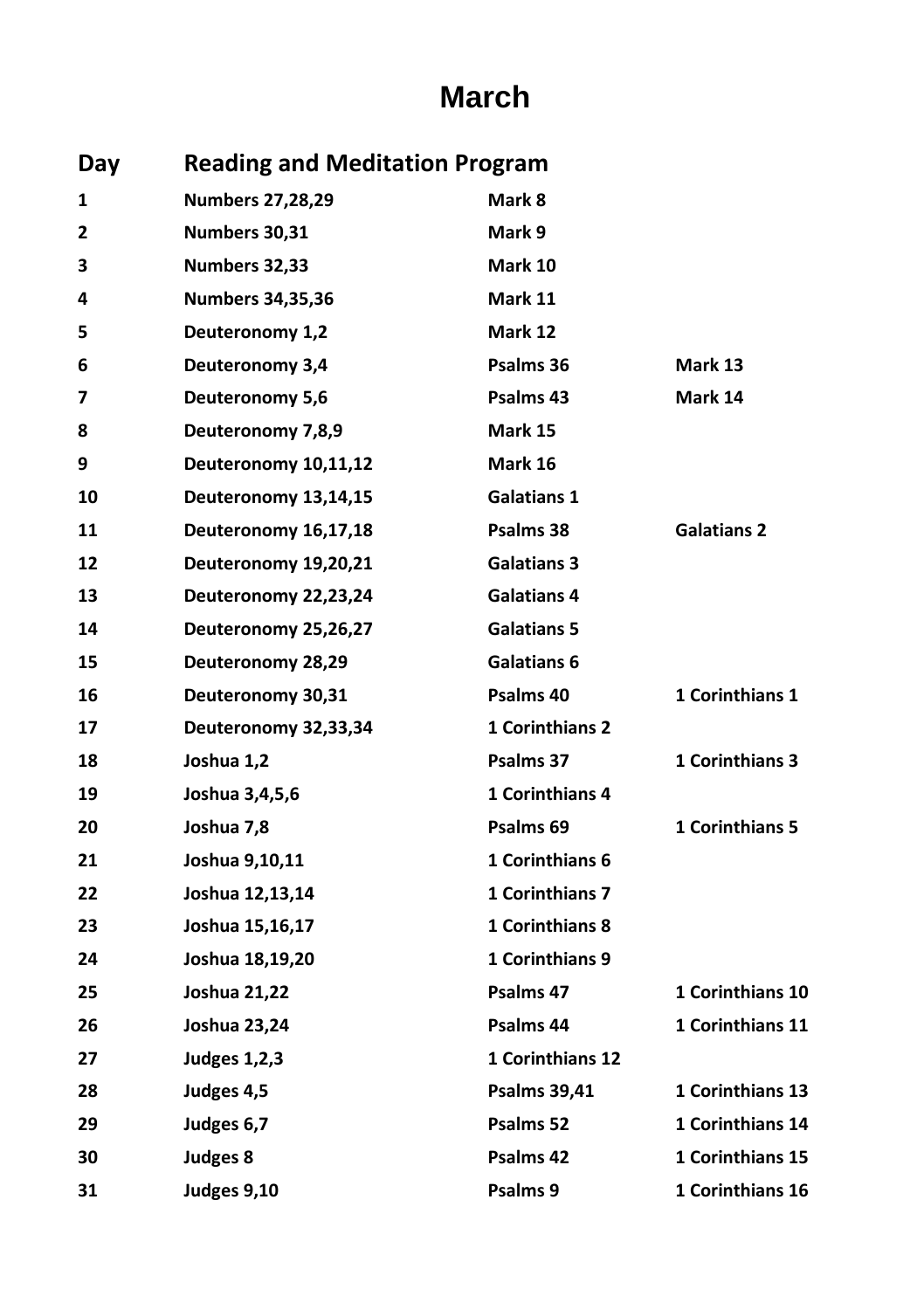#### **March**

| Day |                         | <b>Reading and Meditation Program</b> |                         |  |
|-----|-------------------------|---------------------------------------|-------------------------|--|
| 1   | <b>Numbers 27,28,29</b> | Mark 8                                |                         |  |
| 2   | Numbers 30,31           | Mark 9                                |                         |  |
| з   | Numbers 32,33           | Mark 10                               |                         |  |
| 4   | <b>Numbers 34,35,36</b> | Mark 11                               |                         |  |
| 5   | Deuteronomy 1,2         | Mark 12                               |                         |  |
| 6   | Deuteronomy 3,4         | Psalms 36                             | Mark 13                 |  |
| 7   | Deuteronomy 5,6         | Psalms 43                             | Mark 14                 |  |
| 8   | Deuteronomy 7,8,9       | Mark 15                               |                         |  |
| 9   | Deuteronomy 10,11,12    | Mark 16                               |                         |  |
| 10  | Deuteronomy 13,14,15    | <b>Galatians 1</b>                    |                         |  |
| 11  | Deuteronomy 16,17,18    | Psalms 38                             | <b>Galatians 2</b>      |  |
| 12  | Deuteronomy 19,20,21    | <b>Galatians 3</b>                    |                         |  |
| 13  | Deuteronomy 22,23,24    | <b>Galatians 4</b>                    |                         |  |
| 14  | Deuteronomy 25,26,27    | <b>Galatians 5</b>                    |                         |  |
| 15  | Deuteronomy 28,29       | <b>Galatians 6</b>                    |                         |  |
| 16  | Deuteronomy 30,31       | Psalms 40                             | 1 Corinthians 1         |  |
| 17  | Deuteronomy 32,33,34    | <b>1 Corinthians 2</b>                |                         |  |
| 18  | Joshua 1,2              | Psalms 37                             | 1 Corinthians 3         |  |
| 19  | Joshua 3,4,5,6          | <b>1 Corinthians 4</b>                |                         |  |
| 20  | Joshua 7,8              | Psalms 69                             | 1 Corinthians 5         |  |
| 21  | Joshua 9,10,11          | 1 Corinthians 6                       |                         |  |
| 22  | Joshua 12,13,14         | 1 Corinthians 7                       |                         |  |
| 23  | Joshua 15,16,17         | 1 Corinthians 8                       |                         |  |
| 24  | Joshua 18,19,20         | 1 Corinthians 9                       |                         |  |
| 25  | Joshua 21,22            | Psalms 47                             | <b>1 Corinthians 10</b> |  |
| 26  | Joshua 23,24            | Psalms 44                             | 1 Corinthians 11        |  |
| 27  | <b>Judges 1,2,3</b>     | 1 Corinthians 12                      |                         |  |
| 28  | Judges 4,5              | <b>Psalms 39,41</b>                   | <b>1 Corinthians 13</b> |  |
| 29  | Judges 6,7              | Psalms 52                             | 1 Corinthians 14        |  |
| 30  | Judges 8                | Psalms 42                             | 1 Corinthians 15        |  |
| 31  | Judges 9,10             | Psalms 9                              | 1 Corinthians 16        |  |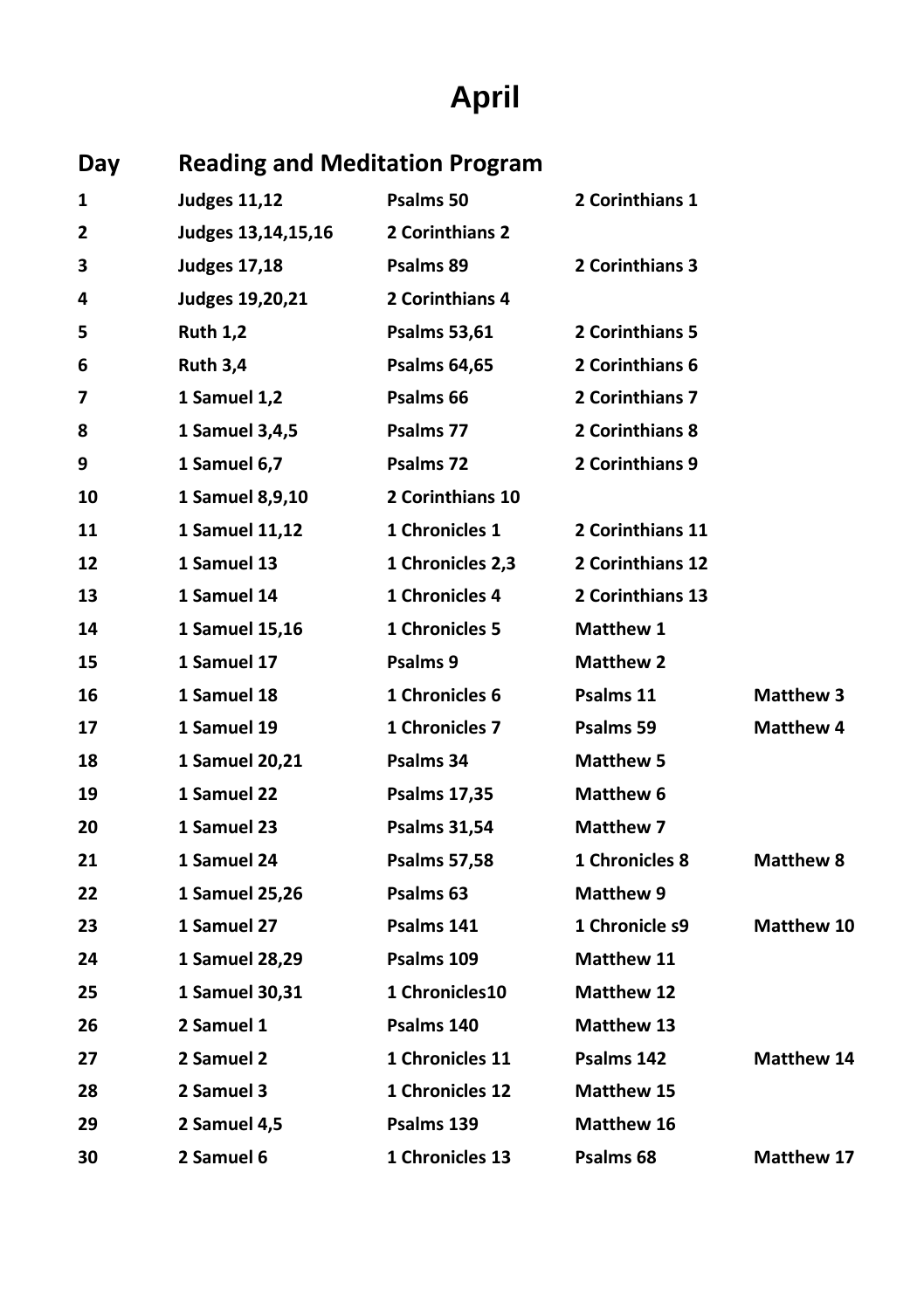# **April**

| Day | <b>Reading and Meditation Program</b> |                       |                   |                   |
|-----|---------------------------------------|-----------------------|-------------------|-------------------|
| 1   | <b>Judges 11,12</b>                   | Psalms 50             | 2 Corinthians 1   |                   |
| 2   | Judges 13,14,15,16                    | 2 Corinthians 2       |                   |                   |
| З   | <b>Judges 17,18</b>                   | Psalms 89             | 2 Corinthians 3   |                   |
| 4   | Judges 19,20,21                       | 2 Corinthians 4       |                   |                   |
| 5   | <b>Ruth 1,2</b>                       | <b>Psalms 53,61</b>   | 2 Corinthians 5   |                   |
| 6   | <b>Ruth 3,4</b>                       | <b>Psalms 64,65</b>   | 2 Corinthians 6   |                   |
| 7   | 1 Samuel 1,2                          | Psalms 66             | 2 Corinthians 7   |                   |
| 8   | 1 Samuel 3,4,5                        | Psalms 77             | 2 Corinthians 8   |                   |
| 9   | 1 Samuel 6,7                          | Psalms 72             | 2 Corinthians 9   |                   |
| 10  | 1 Samuel 8,9,10                       | 2 Corinthians 10      |                   |                   |
| 11  | 1 Samuel 11,12                        | 1 Chronicles 1        | 2 Corinthians 11  |                   |
| 12  | 1 Samuel 13                           | 1 Chronicles 2,3      | 2 Corinthians 12  |                   |
| 13  | 1 Samuel 14                           | 1 Chronicles 4        | 2 Corinthians 13  |                   |
| 14  | 1 Samuel 15,16                        | <b>1 Chronicles 5</b> | <b>Matthew 1</b>  |                   |
| 15  | 1 Samuel 17                           | Psalms 9              | <b>Matthew 2</b>  |                   |
| 16  | 1 Samuel 18                           | 1 Chronicles 6        | Psalms 11         | <b>Matthew 3</b>  |
| 17  | 1 Samuel 19                           | 1 Chronicles 7        | Psalms 59         | <b>Matthew 4</b>  |
| 18  | 1 Samuel 20,21                        | Psalms 34             | <b>Matthew 5</b>  |                   |
| 19  | 1 Samuel 22                           | <b>Psalms 17,35</b>   | Matthew 6         |                   |
| 20  | 1 Samuel 23                           | <b>Psalms 31,54</b>   | <b>Matthew 7</b>  |                   |
| 21  | 1 Samuel 24                           | <b>Psalms 57,58</b>   | 1 Chronicles 8    | <b>Matthew 8</b>  |
| 22  | 1 Samuel 25,26                        | Psalms 63             | Matthew 9         |                   |
| 23  | 1 Samuel 27                           | Psalms 141            | 1 Chronicle s9    | Matthew 10        |
| 24  | 1 Samuel 28,29                        | Psalms 109            | <b>Matthew 11</b> |                   |
| 25  | 1 Samuel 30,31                        | 1 Chronicles10        | <b>Matthew 12</b> |                   |
| 26  | 2 Samuel 1                            | Psalms 140            | Matthew 13        |                   |
| 27  | 2 Samuel 2                            | 1 Chronicles 11       | Psalms 142        | <b>Matthew 14</b> |
| 28  | 2 Samuel 3                            | 1 Chronicles 12       | <b>Matthew 15</b> |                   |
| 29  | 2 Samuel 4,5                          | Psalms 139            | Matthew 16        |                   |
| 30  | 2 Samuel 6                            | 1 Chronicles 13       | Psalms 68         | Matthew 17        |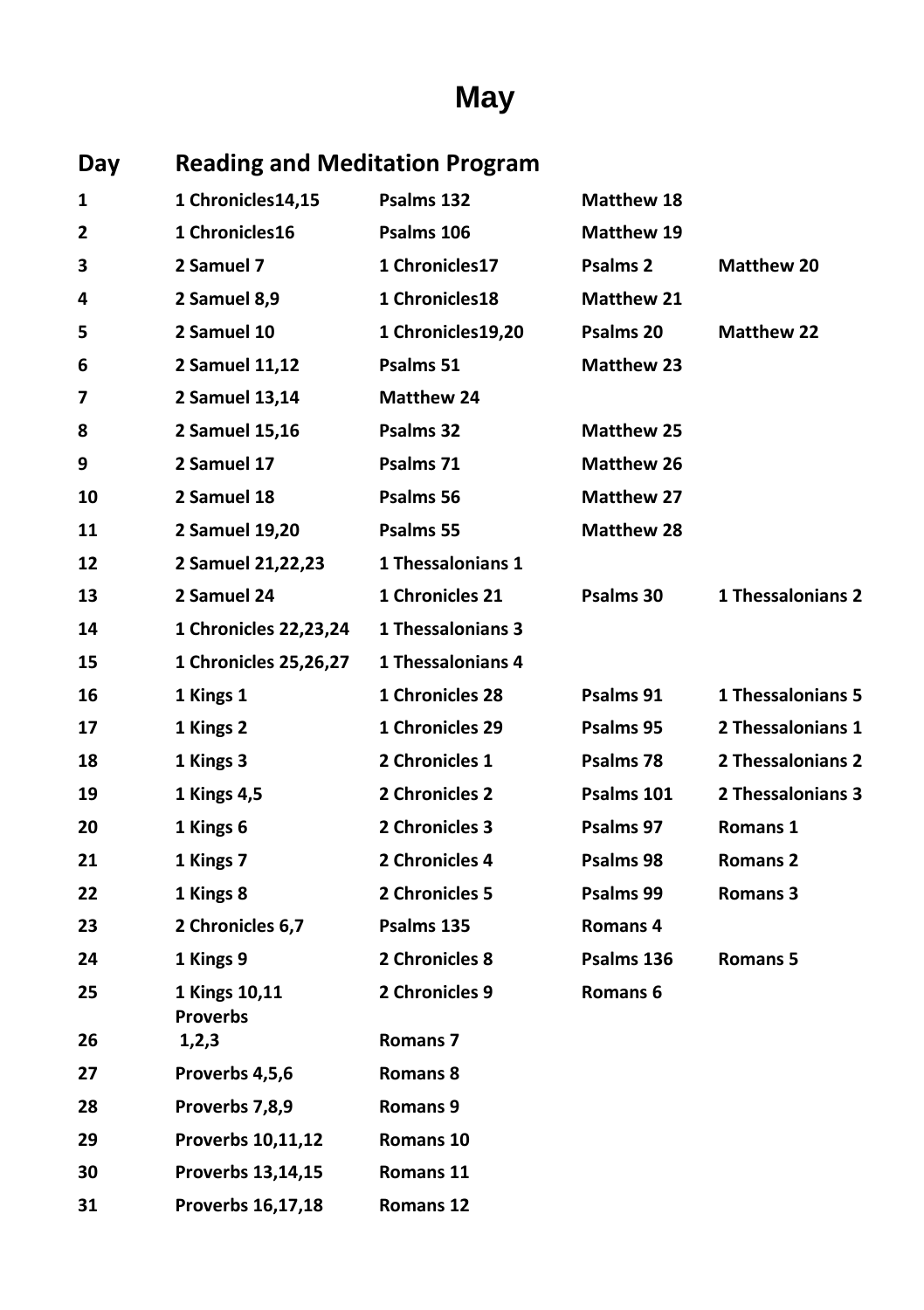# **May**

| Day | <b>Reading and Meditation Program</b> |                     |                     |                          |
|-----|---------------------------------------|---------------------|---------------------|--------------------------|
| 1   | 1 Chronicles14,15                     | Psalms 132          | Matthew 18          |                          |
| 2   | 1 Chronicles16                        | Psalms 106          | Matthew 19          |                          |
| 3   | 2 Samuel 7                            | 1 Chronicles17      | Psalms <sub>2</sub> | <b>Matthew 20</b>        |
| 4   | 2 Samuel 8,9                          | 1 Chronicles18      | Matthew 21          |                          |
| 5   | 2 Samuel 10                           | 1 Chronicles19,20   | Psalms 20           | Matthew 22               |
| 6   | 2 Samuel 11,12                        | Psalms 51           | <b>Matthew 23</b>   |                          |
| 7   | 2 Samuel 13,14                        | <b>Matthew 24</b>   |                     |                          |
| 8   | 2 Samuel 15,16                        | Psalms 32           | <b>Matthew 25</b>   |                          |
| 9   | 2 Samuel 17                           | Psalms 71           | <b>Matthew 26</b>   |                          |
| 10  | 2 Samuel 18                           | Psalms 56           | <b>Matthew 27</b>   |                          |
| 11  | 2 Samuel 19,20                        | Psalms 55           | Matthew 28          |                          |
| 12  | 2 Samuel 21,22,23                     | 1 Thessalonians 1   |                     |                          |
| 13  | 2 Samuel 24                           | 1 Chronicles 21     | Psalms 30           | 1 Thessalonians 2        |
| 14  | 1 Chronicles 22,23,24                 | 1 Thessalonians 3   |                     |                          |
| 15  | 1 Chronicles 25,26,27                 | 1 Thessalonians 4   |                     |                          |
| 16  | 1 Kings 1                             | 1 Chronicles 28     | Psalms 91           | <b>1 Thessalonians 5</b> |
| 17  | 1 Kings 2                             | 1 Chronicles 29     | Psalms 95           | 2 Thessalonians 1        |
| 18  | 1 Kings 3                             | 2 Chronicles 1      | Psalms 78           | 2 Thessalonians 2        |
| 19  | 1 Kings 4,5                           | 2 Chronicles 2      | Psalms 101          | 2 Thessalonians 3        |
| 20  | 1 Kings 6                             | 2 Chronicles 3      | Psalms 97           | Romans 1                 |
| 21  | 1 Kings 7                             | 2 Chronicles 4      | Psalms 98           | <b>Romans 2</b>          |
| 22  | 1 Kings 8                             | 2 Chronicles 5      | Psalms 99           | Romans 3                 |
| 23  | 2 Chronicles 6,7                      | Psalms 135          | Romans 4            |                          |
| 24  | 1 Kings 9                             | 2 Chronicles 8      | Psalms 136          | Romans 5                 |
| 25  | 1 Kings 10,11<br><b>Proverbs</b>      | 2 Chronicles 9      | Romans 6            |                          |
| 26  | 1,2,3                                 | Romans <sub>7</sub> |                     |                          |
| 27  | Proverbs 4,5,6                        | Romans 8            |                     |                          |
| 28  | Proverbs 7,8,9                        | Romans 9            |                     |                          |
| 29  | Proverbs 10,11,12                     | Romans 10           |                     |                          |
| 30  | Proverbs 13,14,15                     | Romans 11           |                     |                          |
| 31  | Proverbs 16,17,18                     | Romans 12           |                     |                          |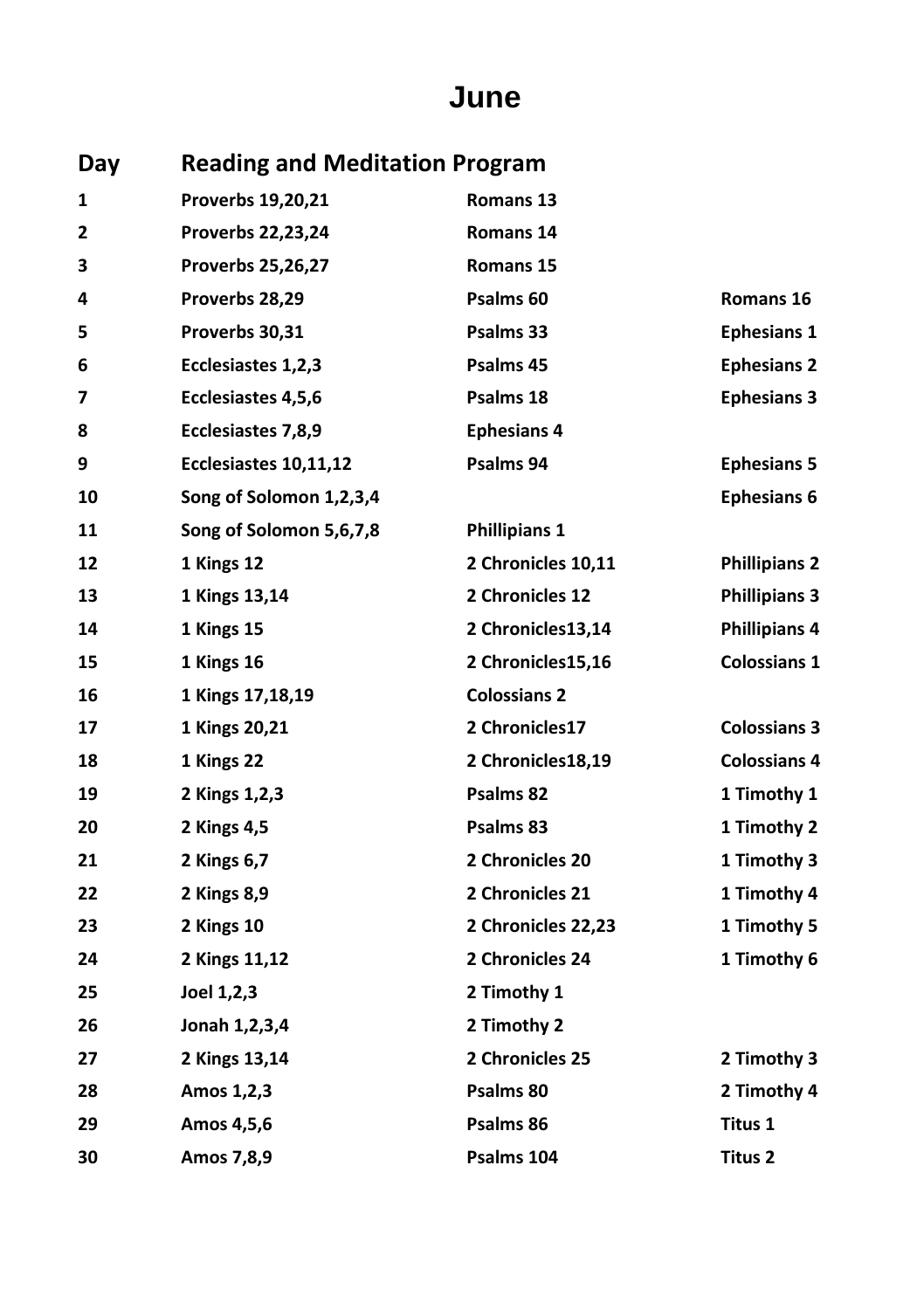#### **June**

| Day |                          | <b>Reading and Meditation Program</b> |                      |  |  |
|-----|--------------------------|---------------------------------------|----------------------|--|--|
| 1   | Proverbs 19,20,21        | Romans 13                             |                      |  |  |
| 2   | Proverbs 22,23,24        | Romans 14                             |                      |  |  |
| 3   | <b>Proverbs 25,26,27</b> | Romans 15                             |                      |  |  |
| 4   | Proverbs 28,29           | Psalms 60                             | Romans 16            |  |  |
| 5   | Proverbs 30,31           | Psalms 33                             | <b>Ephesians 1</b>   |  |  |
| 6   | Ecclesiastes 1,2,3       | Psalms 45                             | <b>Ephesians 2</b>   |  |  |
| 7   | Ecclesiastes 4,5,6       | Psalms 18                             | <b>Ephesians 3</b>   |  |  |
| 8   | Ecclesiastes 7,8,9       | <b>Ephesians 4</b>                    |                      |  |  |
| 9   | Ecclesiastes 10,11,12    | Psalms 94                             | <b>Ephesians 5</b>   |  |  |
| 10  | Song of Solomon 1,2,3,4  |                                       | <b>Ephesians 6</b>   |  |  |
| 11  | Song of Solomon 5,6,7,8  | <b>Phillipians 1</b>                  |                      |  |  |
| 12  | 1 Kings 12               | 2 Chronicles 10,11                    | <b>Phillipians 2</b> |  |  |
| 13  | 1 Kings 13,14            | 2 Chronicles 12                       | <b>Phillipians 3</b> |  |  |
| 14  | 1 Kings 15               | 2 Chronicles13,14                     | <b>Phillipians 4</b> |  |  |
| 15  | 1 Kings 16               | 2 Chronicles15,16                     | <b>Colossians 1</b>  |  |  |
| 16  | 1 Kings 17,18,19         | <b>Colossians 2</b>                   |                      |  |  |
| 17  | 1 Kings 20,21            | 2 Chronicles17                        | <b>Colossians 3</b>  |  |  |
| 18  | 1 Kings 22               | 2 Chronicles18,19                     | <b>Colossians 4</b>  |  |  |
| 19  | 2 Kings 1, 2, 3          | Psalms 82                             | 1 Timothy 1          |  |  |
| 20  | 2 Kings 4,5              | Psalms 83                             | 1 Timothy 2          |  |  |
| 21  | 2 Kings 6,7              | 2 Chronicles 20                       | 1 Timothy 3          |  |  |
| 22  | 2 Kings 8,9              | 2 Chronicles 21                       | 1 Timothy 4          |  |  |
| 23  | 2 Kings 10               | 2 Chronicles 22,23                    | 1 Timothy 5          |  |  |
| 24  | 2 Kings 11,12            | 2 Chronicles 24                       | 1 Timothy 6          |  |  |
| 25  | Joel 1,2,3               | 2 Timothy 1                           |                      |  |  |
| 26  | Jonah 1,2,3,4            | 2 Timothy 2                           |                      |  |  |
| 27  | 2 Kings 13,14            | 2 Chronicles 25                       | 2 Timothy 3          |  |  |
| 28  | Amos 1,2,3               | Psalms 80                             | 2 Timothy 4          |  |  |
| 29  | Amos 4,5,6               | Psalms 86                             | Titus 1              |  |  |
| 30  | Amos 7,8,9               | Psalms 104                            | Titus 2              |  |  |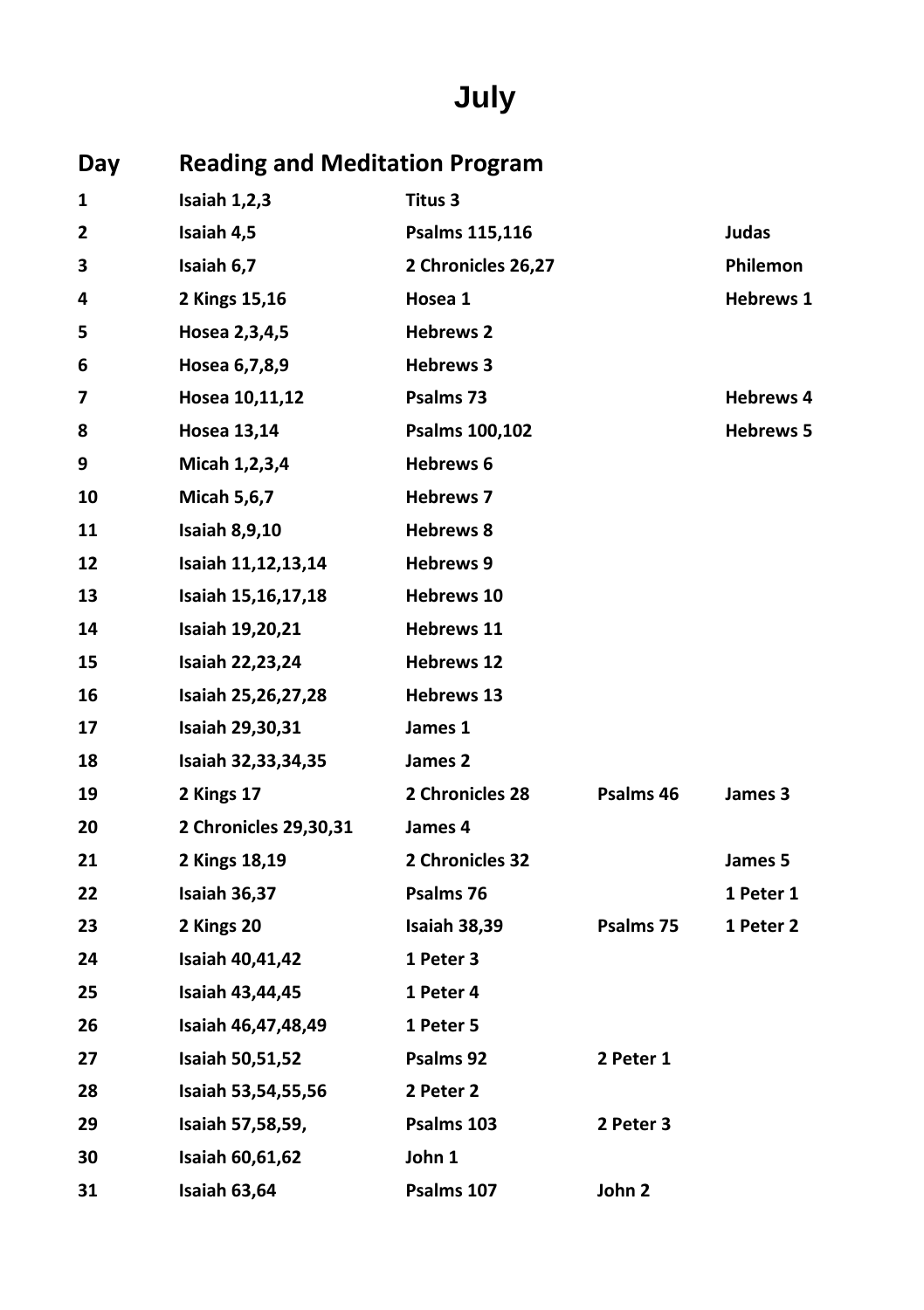# **July**

| Day          | <b>Reading and Meditation Program</b> |                    |           |                  |
|--------------|---------------------------------------|--------------------|-----------|------------------|
| 1            | Isaiah 1,2,3                          | Titus 3            |           |                  |
| $\mathbf{2}$ | Isaiah 4,5                            | Psalms 115,116     |           | Judas            |
| 3            | Isaiah 6,7                            | 2 Chronicles 26,27 |           | <b>Philemon</b>  |
| 4            | 2 Kings 15,16                         | Hosea 1            |           | <b>Hebrews 1</b> |
| 5            | Hosea 2,3,4,5                         | <b>Hebrews 2</b>   |           |                  |
| 6            | Hosea 6,7,8,9                         | <b>Hebrews 3</b>   |           |                  |
| 7            | Hosea 10,11,12                        | Psalms 73          |           | <b>Hebrews 4</b> |
| 8            | <b>Hosea 13,14</b>                    | Psalms 100,102     |           | <b>Hebrews 5</b> |
| 9            | Micah 1,2,3,4                         | Hebrews 6          |           |                  |
| 10           | <b>Micah 5,6,7</b>                    | <b>Hebrews 7</b>   |           |                  |
| 11           | <b>Isaiah 8,9,10</b>                  | <b>Hebrews 8</b>   |           |                  |
| 12           | Isaiah 11,12,13,14                    | <b>Hebrews 9</b>   |           |                  |
| 13           | Isaiah 15,16,17,18                    | <b>Hebrews 10</b>  |           |                  |
| 14           | Isaiah 19,20,21                       | <b>Hebrews 11</b>  |           |                  |
| 15           | Isaiah 22,23,24                       | <b>Hebrews 12</b>  |           |                  |
| 16           | Isaiah 25,26,27,28                    | <b>Hebrews 13</b>  |           |                  |
| 17           | Isaiah 29,30,31                       | James 1            |           |                  |
| 18           | Isaiah 32,33,34,35                    | James 2            |           |                  |
| 19           | 2 Kings 17                            | 2 Chronicles 28    | Psalms 46 | James 3          |
| 20           | 2 Chronicles 29,30,31                 | James 4            |           |                  |
| 21           | 2 Kings 18,19                         | 2 Chronicles 32    |           | James 5          |
| 22           | Isaiah 36,37                          | Psalms 76          |           | 1 Peter 1        |
| 23           | 2 Kings 20                            | Isaiah 38,39       | Psalms 75 | 1 Peter 2        |
| 24           | Isaiah 40,41,42                       | 1 Peter 3          |           |                  |
| 25           | Isaiah 43,44,45                       | 1 Peter 4          |           |                  |
| 26           | Isaiah 46,47,48,49                    | 1 Peter 5          |           |                  |
| 27           | <b>Isaiah 50,51,52</b>                | Psalms 92          | 2 Peter 1 |                  |
| 28           | Isaiah 53,54,55,56                    | 2 Peter 2          |           |                  |
| 29           | Isaiah 57,58,59,                      | Psalms 103         | 2 Peter 3 |                  |
| 30           | Isaiah 60,61,62                       | John 1             |           |                  |
| 31           | Isaiah 63,64                          | Psalms 107         | John 2    |                  |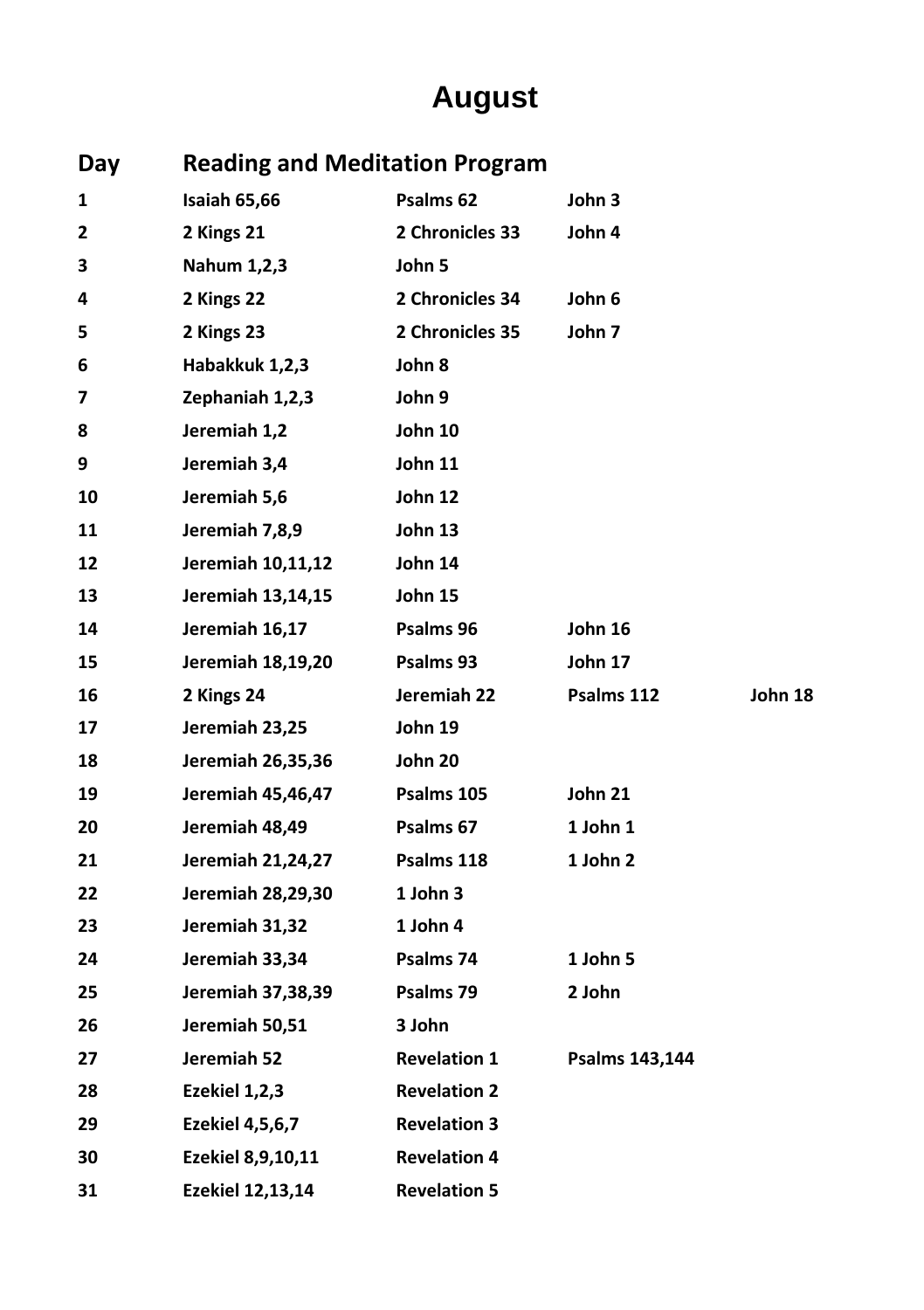# **August**

| Day | <b>Reading and Meditation Program</b> |                     |                |         |
|-----|---------------------------------------|---------------------|----------------|---------|
| 1   | Isaiah 65,66                          | Psalms 62           | John 3         |         |
| 2   | 2 Kings 21                            | 2 Chronicles 33     | John 4         |         |
| 3   | Nahum 1,2,3                           | John 5              |                |         |
| 4   | 2 Kings 22                            | 2 Chronicles 34     | John 6         |         |
| 5   | 2 Kings 23                            | 2 Chronicles 35     | John 7         |         |
| 6   | Habakkuk 1,2,3                        | John 8              |                |         |
| 7   | Zephaniah 1,2,3                       | John 9              |                |         |
| 8   | Jeremiah 1,2                          | John 10             |                |         |
| 9   | Jeremiah 3,4                          | John 11             |                |         |
| 10  | Jeremiah 5,6                          | John 12             |                |         |
| 11  | Jeremiah 7,8,9                        | John 13             |                |         |
| 12  | Jeremiah 10,11,12                     | John 14             |                |         |
| 13  | Jeremiah 13,14,15                     | John 15             |                |         |
| 14  | Jeremiah 16,17                        | Psalms 96           | John 16        |         |
| 15  | Jeremiah 18,19,20                     | Psalms 93           | John 17        |         |
| 16  | 2 Kings 24                            | Jeremiah 22         | Psalms 112     | John 18 |
| 17  | Jeremiah 23,25                        | John 19             |                |         |
| 18  | Jeremiah 26,35,36                     | John 20             |                |         |
| 19  | Jeremiah 45,46,47                     | Psalms 105          | John 21        |         |
| 20  | Jeremiah 48,49                        | Psalms 67           | 1 John 1       |         |
| 21  | Jeremiah 21,24,27                     | Psalms 118          | 1 John 2       |         |
| 22  | Jeremiah 28,29,30                     | 1 John 3            |                |         |
| 23  | Jeremiah 31,32                        | 1 John 4            |                |         |
| 24  | Jeremiah 33,34                        | Psalms 74           | 1 John 5       |         |
| 25  | Jeremiah 37,38,39                     | Psalms 79           | 2 John         |         |
| 26  | Jeremiah 50,51                        | 3 John              |                |         |
| 27  | Jeremiah 52                           | <b>Revelation 1</b> | Psalms 143,144 |         |
| 28  | Ezekiel 1,2,3                         | <b>Revelation 2</b> |                |         |
| 29  | <b>Ezekiel 4,5,6,7</b>                | <b>Revelation 3</b> |                |         |
| 30  | Ezekiel 8,9,10,11                     | <b>Revelation 4</b> |                |         |
| 31  | Ezekiel 12,13,14                      | <b>Revelation 5</b> |                |         |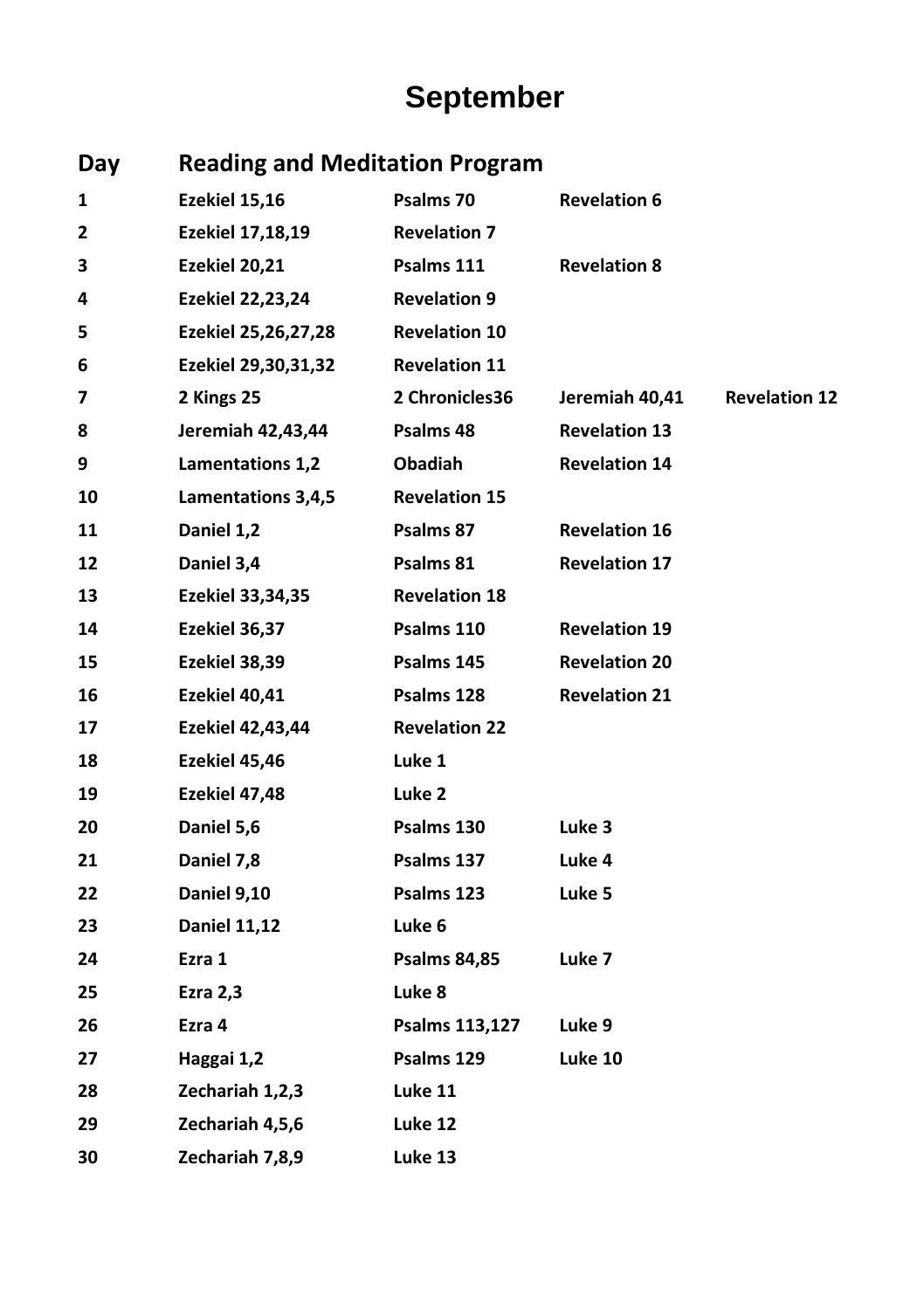# **September**

| Day | <b>Reading and Meditation Program</b> |                      |                      |                      |
|-----|---------------------------------------|----------------------|----------------------|----------------------|
| 1   | Ezekiel 15,16                         | Psalms 70            | <b>Revelation 6</b>  |                      |
| 2   | Ezekiel 17,18,19                      | <b>Revelation 7</b>  |                      |                      |
| 3   | Ezekiel 20,21                         | Psalms 111           | <b>Revelation 8</b>  |                      |
| 4   | <b>Ezekiel 22,23,24</b>               | <b>Revelation 9</b>  |                      |                      |
| 5   | Ezekiel 25,26,27,28                   | <b>Revelation 10</b> |                      |                      |
| 6   | Ezekiel 29,30,31,32                   | <b>Revelation 11</b> |                      |                      |
| 7   | 2 Kings 25                            | 2 Chronicles36       | Jeremiah 40,41       | <b>Revelation 12</b> |
| 8   | Jeremiah 42,43,44                     | Psalms 48            | <b>Revelation 13</b> |                      |
| 9   | Lamentations 1,2                      | <b>Obadiah</b>       | <b>Revelation 14</b> |                      |
| 10  | Lamentations 3,4,5                    | <b>Revelation 15</b> |                      |                      |
| 11  | Daniel 1,2                            | Psalms 87            | <b>Revelation 16</b> |                      |
| 12  | Daniel 3,4                            | Psalms 81            | <b>Revelation 17</b> |                      |
| 13  | Ezekiel 33,34,35                      | <b>Revelation 18</b> |                      |                      |
| 14  | Ezekiel 36,37                         | Psalms 110           | <b>Revelation 19</b> |                      |
| 15  | Ezekiel 38,39                         | Psalms 145           | <b>Revelation 20</b> |                      |
| 16  | Ezekiel 40,41                         | Psalms 128           | <b>Revelation 21</b> |                      |
| 17  | <b>Ezekiel 42,43,44</b>               | <b>Revelation 22</b> |                      |                      |
| 18  | Ezekiel 45,46                         | Luke 1               |                      |                      |
| 19  | Ezekiel 47,48                         | Luke 2               |                      |                      |
| 20  | Daniel 5,6                            | Psalms 130           | Luke 3               |                      |
| 21  | Daniel 7,8                            | Psalms 137           | Luke 4               |                      |
| 22  | Daniel 9,10                           | Psalms 123           | Luke 5               |                      |
| 23  | <b>Daniel 11,12</b>                   | Luke 6               |                      |                      |
| 24  | Ezra 1                                | <b>Psalms 84,85</b>  | Luke 7               |                      |
| 25  | <b>Ezra 2,3</b>                       | Luke 8               |                      |                      |
| 26  | Ezra 4                                | Psalms 113,127       | Luke 9               |                      |
| 27  | Haggai 1,2                            | Psalms 129           | Luke 10              |                      |
| 28  | Zechariah 1,2,3                       | Luke 11              |                      |                      |
| 29  | Zechariah 4,5,6                       | Luke 12              |                      |                      |
| 30  | Zechariah 7,8,9                       | Luke 13              |                      |                      |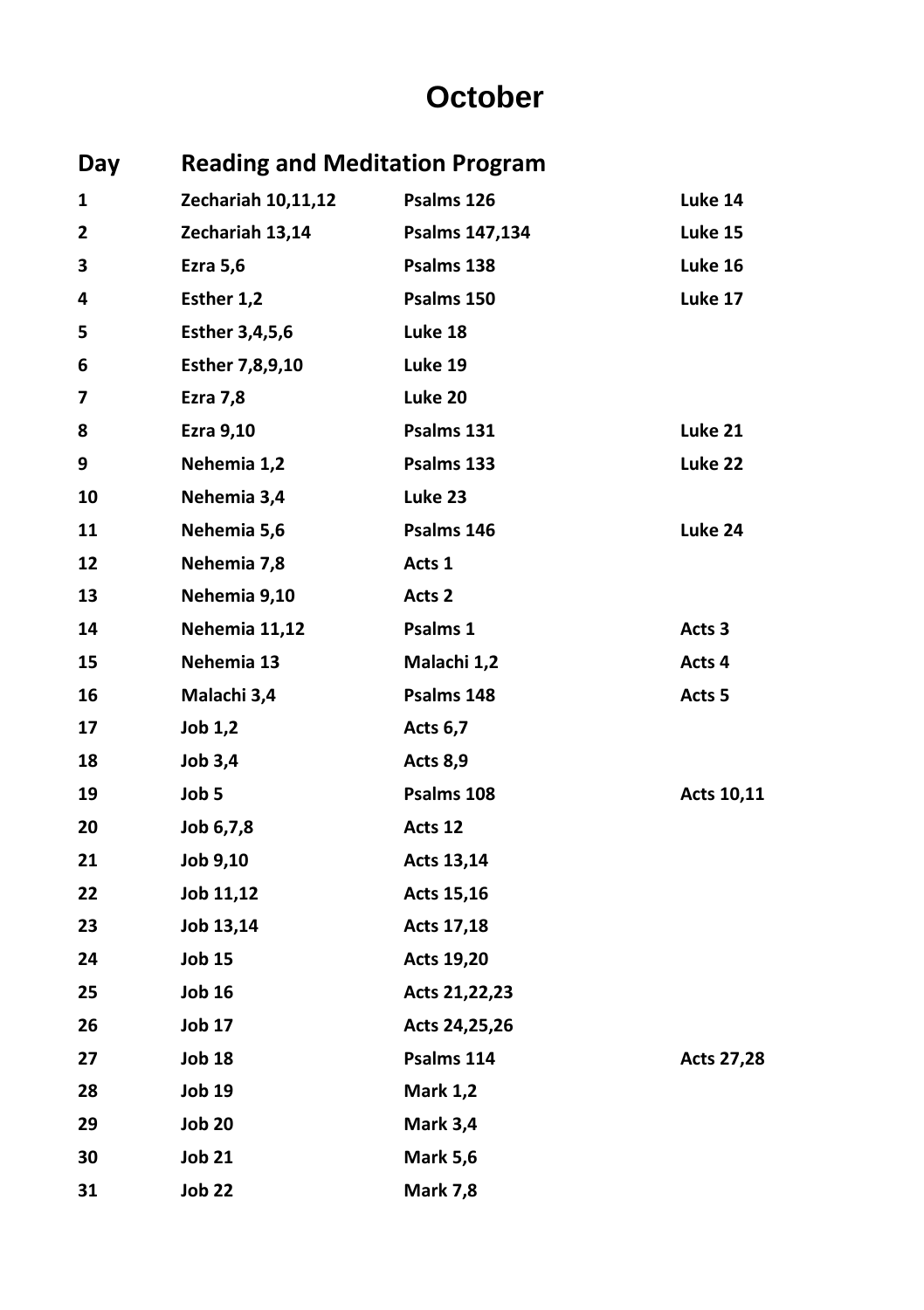#### **October**

| Day | <b>Reading and Meditation Program</b> |                 |                   |
|-----|---------------------------------------|-----------------|-------------------|
| 1   | Zechariah 10,11,12                    | Psalms 126      | Luke 14           |
| 2   | Zechariah 13,14                       | Psalms 147,134  | Luke 15           |
| З   | Ezra 5,6                              | Psalms 138      | Luke 16           |
| 4   | Esther 1,2                            | Psalms 150      | Luke 17           |
| 5   | <b>Esther 3,4,5,6</b>                 | Luke 18         |                   |
| 6   | Esther 7,8,9,10                       | Luke 19         |                   |
| 7   | Ezra 7,8                              | Luke 20         |                   |
| 8   | Ezra 9,10                             | Psalms 131      | Luke 21           |
| 9   | Nehemia 1,2                           | Psalms 133      | Luke 22           |
| 10  | Nehemia 3,4                           | Luke 23         |                   |
| 11  | Nehemia 5,6                           | Psalms 146      | Luke 24           |
| 12  | Nehemia 7,8                           | Acts 1          |                   |
| 13  | Nehemia 9,10                          | Acts 2          |                   |
| 14  | Nehemia 11,12                         | Psalms 1        | Acts 3            |
| 15  | Nehemia 13                            | Malachi 1,2     | Acts 4            |
| 16  | Malachi 3,4                           | Psalms 148      | Acts <sub>5</sub> |
| 17  | Job 1,2                               | <b>Acts 6,7</b> |                   |
| 18  | Job 3,4                               | Acts 8,9        |                   |
| 19  | Job 5                                 | Psalms 108      | Acts 10,11        |
| 20  | Job 6,7,8                             | Acts 12         |                   |
| 21  | Job 9,10                              | Acts 13,14      |                   |
| 22  | Job 11,12                             | Acts 15,16      |                   |
| 23  | Job 13,14                             | Acts 17,18      |                   |
| 24  | <b>Job 15</b>                         | Acts 19,20      |                   |
| 25  | <b>Job 16</b>                         | Acts 21,22,23   |                   |
| 26  | Job 17                                | Acts 24,25,26   |                   |
| 27  | <b>Job 18</b>                         | Psalms 114      | <b>Acts 27,28</b> |
| 28  | <b>Job 19</b>                         | <b>Mark 1,2</b> |                   |
| 29  | <b>Job 20</b>                         | Mark 3,4        |                   |
| 30  | <b>Job 21</b>                         | <b>Mark 5,6</b> |                   |
| 31  | <b>Job 22</b>                         | <b>Mark 7,8</b> |                   |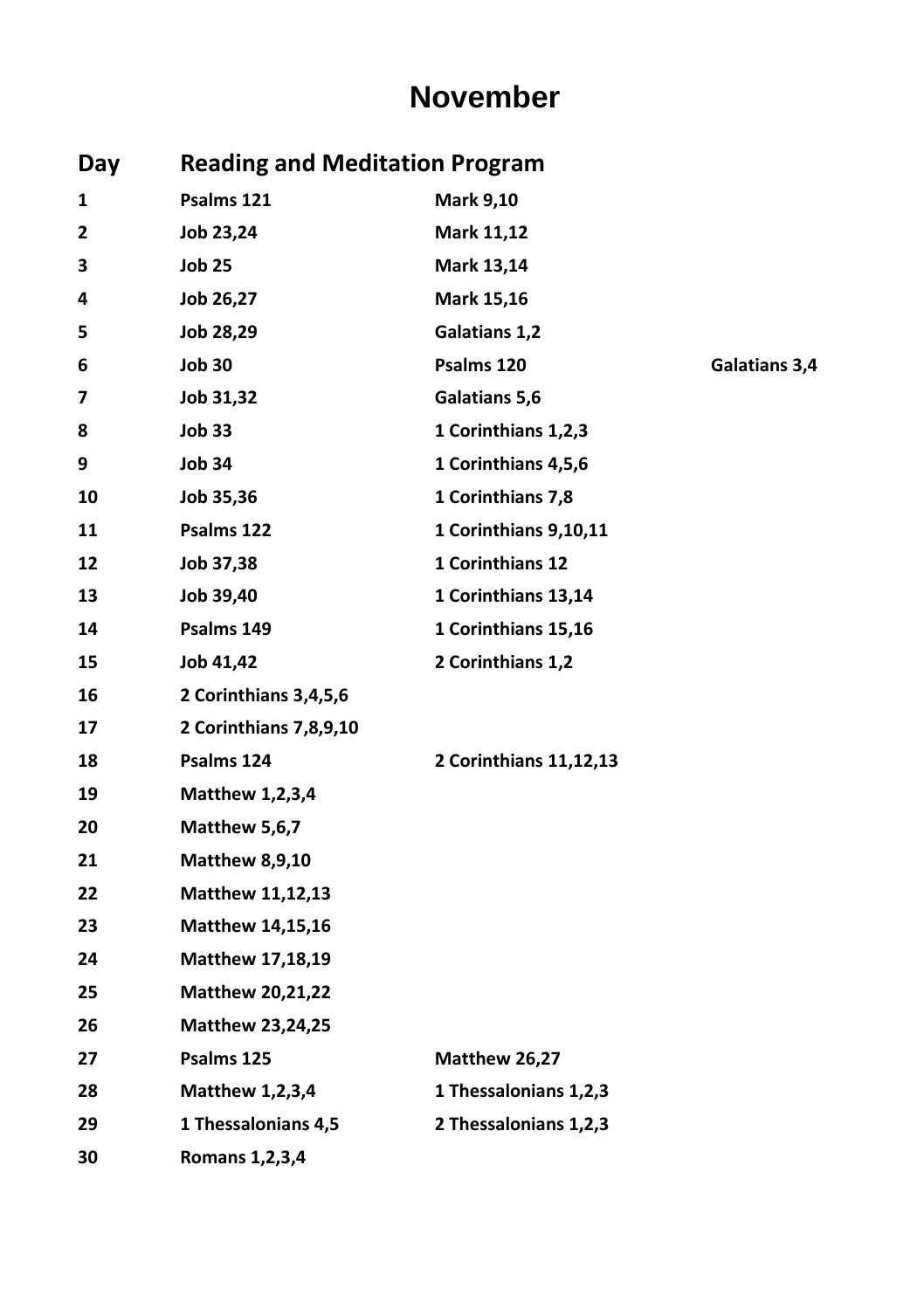#### **November**

| Day | <b>Reading and Meditation Program</b> |                        |               |  |
|-----|---------------------------------------|------------------------|---------------|--|
| 1   | Psalms 121                            | <b>Mark 9,10</b>       |               |  |
| 2   | Job 23,24                             | Mark 11,12             |               |  |
| 3   | <b>Job 25</b>                         | Mark 13,14             |               |  |
| 4   | Job 26,27                             | Mark 15,16             |               |  |
| 5   | Job 28,29                             | Galatians 1,2          |               |  |
| 6   | <b>Job 30</b>                         | Psalms 120             | Galatians 3,4 |  |
| 7   | Job 31,32                             | Galatians 5,6          |               |  |
| 8   | <b>Job 33</b>                         | 1 Corinthians 1,2,3    |               |  |
| 9   | <b>Job 34</b>                         | 1 Corinthians 4,5,6    |               |  |
| 10  | Job 35,36                             | 1 Corinthians 7,8      |               |  |
| 11  | Psalms 122                            | 1 Corinthians 9,10,11  |               |  |
| 12  | Job 37,38                             | 1 Corinthians 12       |               |  |
| 13  | Job 39,40                             | 1 Corinthians 13,14    |               |  |
| 14  | Psalms 149                            | 1 Corinthians 15,16    |               |  |
| 15  | Job 41,42                             | 2 Corinthians 1,2      |               |  |
| 16  | 2 Corinthians 3,4,5,6                 |                        |               |  |
| 17  | 2 Corinthians 7,8,9,10                |                        |               |  |
| 18  | Psalms 124                            | 2 Corinthians 11,12,13 |               |  |
| 19  | <b>Matthew 1,2,3,4</b>                |                        |               |  |
| 20  | Matthew 5,6,7                         |                        |               |  |
| 21  | <b>Matthew 8,9,10</b>                 |                        |               |  |
| 22  | Matthew 11,12,13                      |                        |               |  |
| 23  | <b>Matthew 14,15,16</b>               |                        |               |  |
| 24  | <b>Matthew 17,18,19</b>               |                        |               |  |
| 25  | <b>Matthew 20,21,22</b>               |                        |               |  |
| 26  | Matthew 23,24,25                      |                        |               |  |
| 27  | Psalms 125                            | Matthew 26,27          |               |  |
| 28  | <b>Matthew 1,2,3,4</b>                | 1 Thessalonians 1,2,3  |               |  |
| 29  | 1 Thessalonians 4,5                   | 2 Thessalonians 1,2,3  |               |  |
| 30  | Romans 1, 2, 3, 4                     |                        |               |  |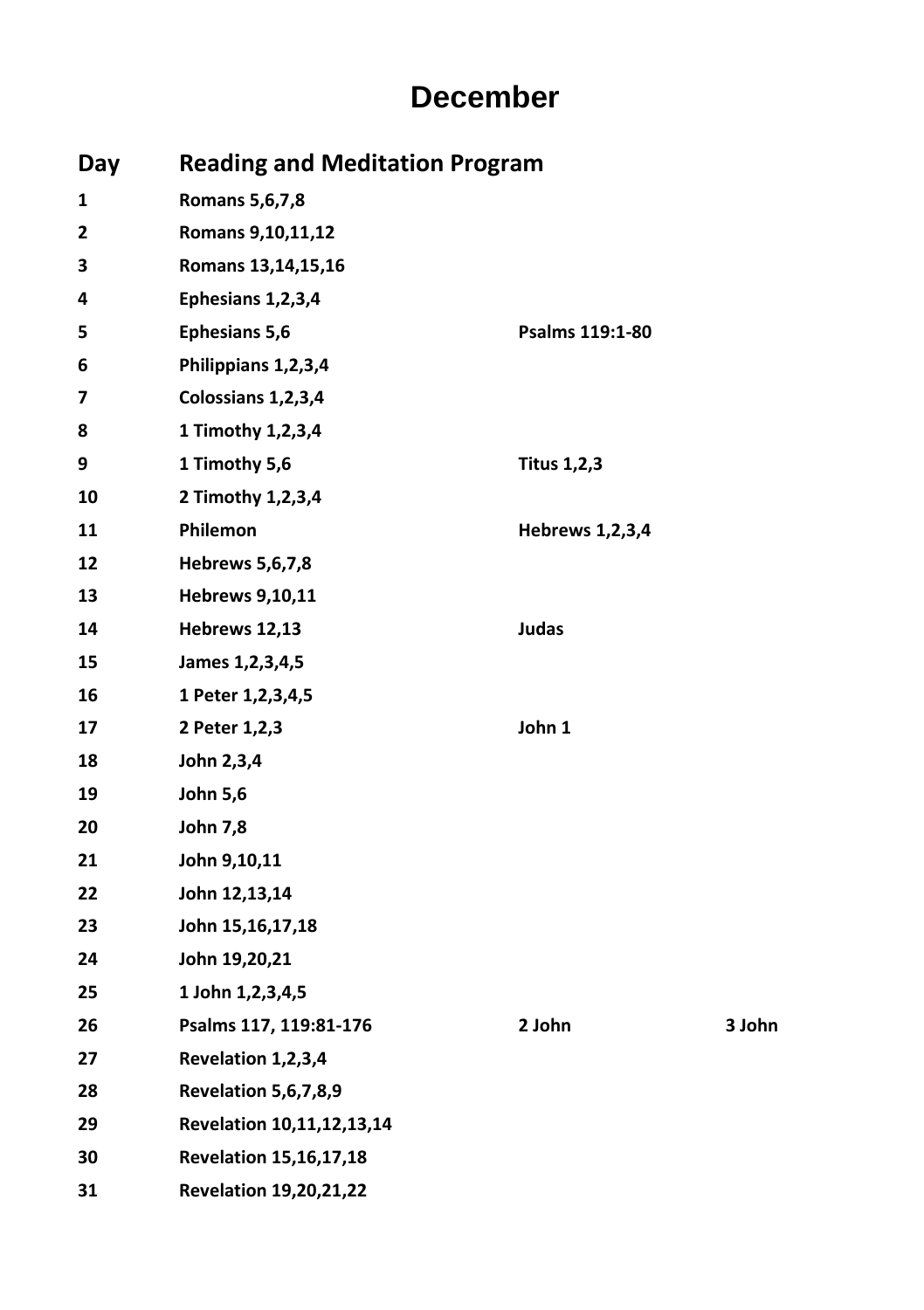#### **December**

| Day |                               | <b>Reading and Meditation Program</b> |        |  |  |
|-----|-------------------------------|---------------------------------------|--------|--|--|
| 1   | <b>Romans 5,6,7,8</b>         |                                       |        |  |  |
| 2   | Romans 9,10,11,12             |                                       |        |  |  |
| з   | Romans 13,14,15,16            |                                       |        |  |  |
| 4   | Ephesians 1,2,3,4             |                                       |        |  |  |
| 5   | <b>Ephesians 5,6</b>          | Psalms 119:1-80                       |        |  |  |
| 6   | Philippians 1,2,3,4           |                                       |        |  |  |
| 7   | Colossians 1,2,3,4            |                                       |        |  |  |
| 8   | 1 Timothy 1,2,3,4             |                                       |        |  |  |
| 9   | 1 Timothy 5,6                 | <b>Titus 1,2,3</b>                    |        |  |  |
| 10  | 2 Timothy 1,2,3,4             |                                       |        |  |  |
| 11  | Philemon                      | <b>Hebrews 1,2,3,4</b>                |        |  |  |
| 12  | Hebrews 5,6,7,8               |                                       |        |  |  |
| 13  | <b>Hebrews 9,10,11</b>        |                                       |        |  |  |
| 14  | Hebrews 12,13                 | Judas                                 |        |  |  |
| 15  | James 1, 2, 3, 4, 5           |                                       |        |  |  |
| 16  | 1 Peter 1,2,3,4,5             |                                       |        |  |  |
| 17  | 2 Peter 1,2,3                 | John 1                                |        |  |  |
| 18  | John 2,3,4                    |                                       |        |  |  |
| 19  | <b>John 5,6</b>               |                                       |        |  |  |
| 20  | <b>John 7,8</b>               |                                       |        |  |  |
| 21  | John 9,10,11                  |                                       |        |  |  |
| 22  | John 12,13,14                 |                                       |        |  |  |
| 23  | John 15,16,17,18              |                                       |        |  |  |
| 24  | John 19,20,21                 |                                       |        |  |  |
| 25  | 1 John 1,2,3,4,5              |                                       |        |  |  |
| 26  | Psalms 117, 119:81-176        | 2 John                                | 3 John |  |  |
| 27  | Revelation 1,2,3,4            |                                       |        |  |  |
| 28  | <b>Revelation 5,6,7,8,9</b>   |                                       |        |  |  |
| 29  | Revelation 10,11,12,13,14     |                                       |        |  |  |
| 30  | <b>Revelation 15,16,17,18</b> |                                       |        |  |  |
| 31  | <b>Revelation 19,20,21,22</b> |                                       |        |  |  |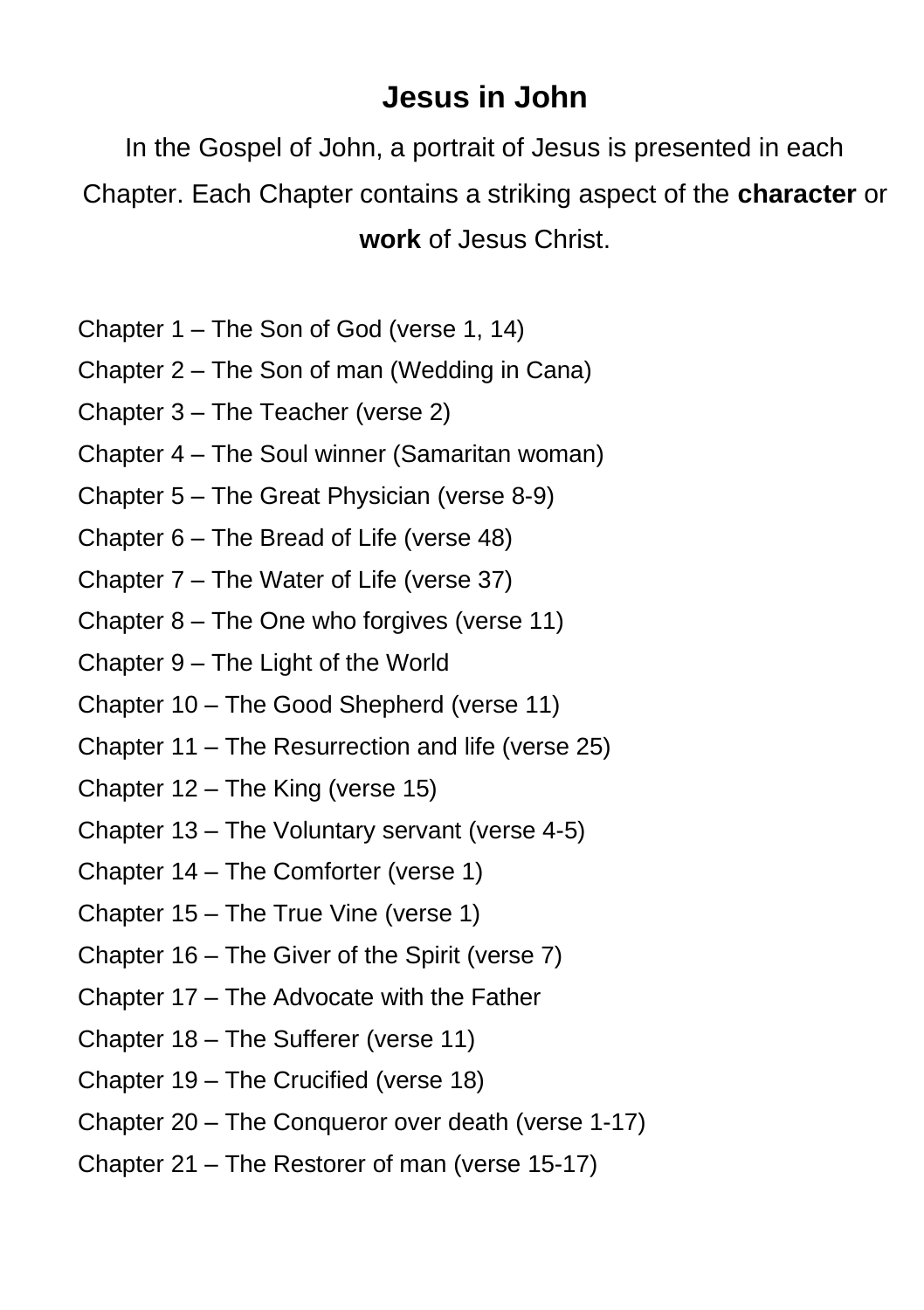#### **Jesus in John**

In the Gospel of John, a portrait of Jesus is presented in each Chapter. Each Chapter contains a striking aspect of the **character** or **work** of Jesus Christ.

- Chapter 1 The Son of God (verse 1, 14)
- Chapter 2 The Son of man (Wedding in Cana)
- Chapter 3 The Teacher (verse 2)
- Chapter 4 The Soul winner (Samaritan woman)
- Chapter 5 The Great Physician (verse 8-9)
- Chapter 6 The Bread of Life (verse 48)
- Chapter 7 The Water of Life (verse 37)
- Chapter 8 The One who forgives (verse 11)
- Chapter 9 The Light of the World
- Chapter 10 The Good Shepherd (verse 11)
- Chapter 11 The Resurrection and life (verse 25)
- Chapter 12 The King (verse 15)
- Chapter 13 The Voluntary servant (verse 4-5)
- Chapter 14 The Comforter (verse 1)
- Chapter 15 The True Vine (verse 1)
- Chapter 16 The Giver of the Spirit (verse 7)
- Chapter 17 The Advocate with the Father
- Chapter 18 The Sufferer (verse 11)
- Chapter 19 The Crucified (verse 18)
- Chapter 20 The Conqueror over death (verse 1-17)
- Chapter 21 The Restorer of man (verse 15-17)